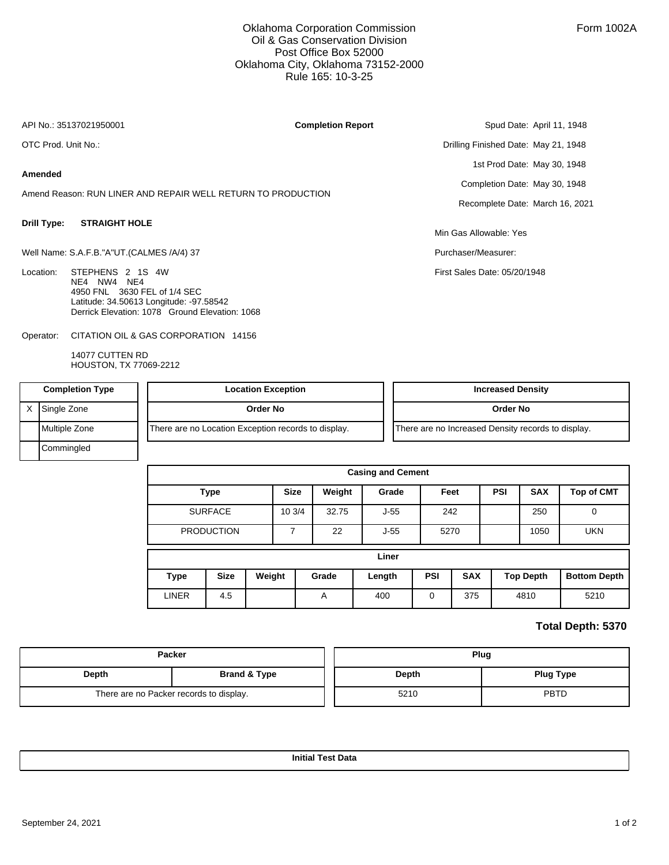## Oklahoma Corporation Commission Oil & Gas Conservation Division Post Office Box 52000 Oklahoma City, Oklahoma 73152-2000 Rule 165: 10-3-25

**Completion Report**

API No.: 35137021950001

OTC Prod. Unit No.:

X Single Zone

Commingled

### **Amended**

Amend Reason: RUN LINER AND REPAIR WELL RETURN TO PRODUCTION

#### **Drill Type: STRAIGHT HOLE**

Well Name: S.A.F.B."A"UT.(CALMES /A/4) 37

| Location: STEPHENS 2 1S 4W                     |
|------------------------------------------------|
| NF4 NW4 NF4                                    |
| 4950 FNL 3630 FEL of 1/4 SEC                   |
| Latitude: 34.50613 Longitude: -97.58542        |
| Derrick Elevation: 1078 Ground Elevation: 1068 |

CITATION OIL & GAS CORPORATION 14156 Operator:

| 14077 CUTTEN RD<br>HOUSTON, TX 77069-2212 |                                                     |                                                    |  |
|-------------------------------------------|-----------------------------------------------------|----------------------------------------------------|--|
| <b>Completion Type</b>                    | <b>Location Exception</b>                           | <b>Increased Density</b>                           |  |
| Single Zone                               | Order No                                            | Order No                                           |  |
| Multiple Zone                             | There are no Location Exception records to display. | There are no Increased Density records to display. |  |

Min Gas Allowable: Yes Purchaser/Measurer:

First Sales Date: 05/20/1948

Spud Date: April 11, 1948

1st Prod Date: May 30, 1948 Completion Date: May 30, 1948 Recomplete Date: March 16, 2021

Drilling Finished Date: May 21, 1948

| <b>Casing and Cement</b> |             |             |        |        |        |            |            |                  |                   |                     |
|--------------------------|-------------|-------------|--------|--------|--------|------------|------------|------------------|-------------------|---------------------|
| <b>Type</b>              |             | <b>Size</b> | Weight | Grade  | Feet   |            | <b>PSI</b> | <b>SAX</b>       | <b>Top of CMT</b> |                     |
| <b>SURFACE</b>           |             | 103/4       | 32.75  | $J-55$ | 242    |            |            | 250              | $\Omega$          |                     |
| <b>PRODUCTION</b>        |             |             | ⇁      | 22     | $J-55$ | 5270       |            |                  |                   | <b>UKN</b>          |
| Liner                    |             |             |        |        |        |            |            |                  |                   |                     |
| <b>Type</b>              | <b>Size</b> | Weight      |        | Grade  | Length | <b>PSI</b> | <b>SAX</b> | <b>Top Depth</b> |                   | <b>Bottom Depth</b> |
| <b>LINER</b>             | 4.5         |             |        | A      | 400    | 0          | 375        | 4810             |                   | 5210                |

## **Total Depth: 5370**

|       | Packer                                  | Plug  |                  |  |  |
|-------|-----------------------------------------|-------|------------------|--|--|
| Depth | <b>Brand &amp; Type</b>                 | Depth | <b>Plug Type</b> |  |  |
|       | There are no Packer records to display. | 5210  | <b>PBTD</b>      |  |  |

**Initial Test Data**